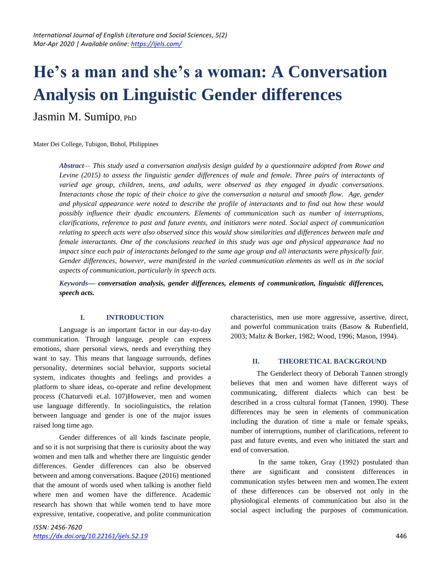# **He's a man and she's a woman: A Conversation Analysis on Linguistic Gender differences**

Jasmin M. Sumipo, PhD

Mater Dei College, Tubigon, Bohol, Philippines

*Abstract— This study used a conversation analysis design guided by a questionnaire adopted from Rowe and Levine (2015) to assess the linguistic gender differences of male and female. Three pairs of interactants of varied age group, children, teens, and adults, were observed as they engaged in dyadic conversations. Interactants chose the topic of their choice to give the conversation a natural and smooth flow. Age, gender and physical appearance were noted to describe the profile of interactants and to find out how these would possibly influence their dyadic encounters. Elements of communication such as number of interruptions, clarifications, reference to past and future events, and initiators were noted. Social aspect of communication relating to speech acts were also observed since this would show similarities and differences between male and female interactants. One of the conclusions reached in this study was age and physical appearance had no impact since each pair of interactants belonged to the same age group and all interactants were physically fair. Gender differences, however, were manifested in the varied communication elements as well as in the social aspects of communication, particularly in speech acts.* 

*Keywords— conversation analysis, gender differences, elements of communication, linguistic differences, speech acts.*

## **I. INTRODUCTION**

Language is an important factor in our day-to-day communication. Through language, people can express emotions, share personal views, needs and everything they want to say. This means that language surrounds, defines personality, determines social behavior, supports societal system, indicates thoughts and feelings and provides a platform to share ideas, co-operate and refine development process (Chaturvedi et.al. 107)However, men and women use language differently. In sociolinguistics, the relation between language and gender is one of the major issues raised long time ago.

Gender differences of all kinds fascinate people, and so it is not surprising that there is curiosity about the way women and men talk and whether there are linguistic gender differences. Gender differences can also be observed between and among conversations. Baquee (2016) mentioned that the amount of words used when talking is another field where men and women have the difference. Academic research has shown that while women tend to have more expressive, tentative, cooperative, and polite communication characteristics, men use more aggressive, assertive, direct, and powerful communication traits (Basow & Rubenfield, 2003; Maltz & Borker, 1982; Wood, 1996; Mason, 1994).

## **II. THEORETICAL BACKGROUND**

The Genderlect theory of Deborah Tannen strongly believes that men and women have different ways of communicating, different dialects which can best be described in a cross cultural format (Tannen, 1990). These differences may be seen in elements of communication including the duration of time a male or female speaks, number of interruptions, number of clarifications, referent to past and future events, and even who initiated the start and end of conversation.

In the same token, Gray (1992) postulated than there are significant and consistent differences in communication styles between men and women.The extent of these differences can be observed not only in the physiological elements of communication but also in the social aspect including the purposes of communication.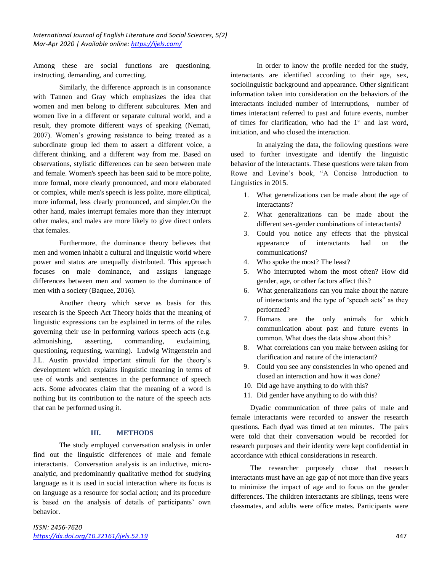*International Journal of English Literature and Social Sciences, 5(2) Mar-Apr 2020 | Available online[: https://ijels.com/](https://ijels.com/)*

Among these are social functions are questioning, instructing, demanding, and correcting.

Similarly, the difference approach is in consonance with Tannen and Gray which emphasizes the idea that women and men belong to different subcultures. Men and women live in a different or separate cultural world, and a result, they promote different ways of speaking (Nemati, 2007). Women's growing resistance to being treated as a subordinate group led them to assert a different voice, a different thinking, and a different way from me. Based on observations, stylistic differences can be seen between male and female. Women's speech has been said to be more polite, more formal, more clearly pronounced, and more elaborated or complex, while men's speech is less polite, more elliptical, more informal, less clearly pronounced, and simpler.On the other hand, males interrupt females more than they interrupt other males, and males are more likely to give direct orders that females.

Furthermore, the dominance theory believes that men and women inhabit a cultural and linguistic world where power and status are unequally distributed. This approach focuses on male dominance, and assigns language differences between men and women to the dominance of men with a society (Baquee, 2016).

Another theory which serve as basis for this research is the Speech Act Theory holds that the meaning of linguistic expressions can be explained in terms of the rules governing their use in performing various speech acts (e.g. admonishing, asserting, commanding, exclaiming, questioning, requesting, warning). Ludwig Wittgenstein and J.L. Austin provided important stimuli for the theory's development which explains linguistic meaning in terms of use of words and sentences in the performance of speech acts. Some advocates claim that the meaning of a word is nothing but its contribution to the nature of the speech acts that can be performed using it.

#### **III. METHODS**

The study employed conversation analysis in order find out the linguistic differences of male and female interactants. Conversation analysis is an inductive, microanalytic, and predominantly qualitative method for studying language as it is used in social interaction where its focus is on language as a resource for social action; and its procedure is based on the analysis of details of participants' own behavior.

In order to know the profile needed for the study, interactants are identified according to their age, sex, sociolinguistic background and appearance. Other significant information taken into consideration on the behaviors of the interactants included number of interruptions, number of times interactant referred to past and future events, number of times for clarification, who had the  $1<sup>st</sup>$  and last word, initiation, and who closed the interaction.

In analyzing the data, the following questions were used to further investigate and identify the linguistic behavior of the interactants. These questions were taken from Rowe and Levine's book, "A Concise Introduction to Linguistics in 2015.

- 1. What generalizations can be made about the age of interactants?
- 2. What generalizations can be made about the different sex-gender combinations of interactants?
- 3. Could you notice any effects that the physical appearance of interactants had on the communications?
- 4. Who spoke the most? The least?
- 5. Who interrupted whom the most often? How did gender, age, or other factors affect this?
- 6. What generalizations can you make about the nature of interactants and the type of 'speech acts" as they performed?
- 7. Humans are the only animals for which communication about past and future events in common. What does the data show about this?
- 8. What correlations can you make between asking for clarification and nature of the interactant?
- 9. Could you see any consistencies in who opened and closed an interaction and how it was done?
- 10. Did age have anything to do with this?
- 11. Did gender have anything to do with this?

Dyadic communication of three pairs of male and female interactants were recorded to answer the research questions. Each dyad was timed at ten minutes. The pairs were told that their conversation would be recorded for research purposes and their identity were kept confidential in accordance with ethical considerations in research.

The researcher purposely chose that research interactants must have an age gap of not more than five years to minimize the impact of age and to focus on the gender differences. The children interactants are siblings, teens were classmates, and adults were office mates. Participants were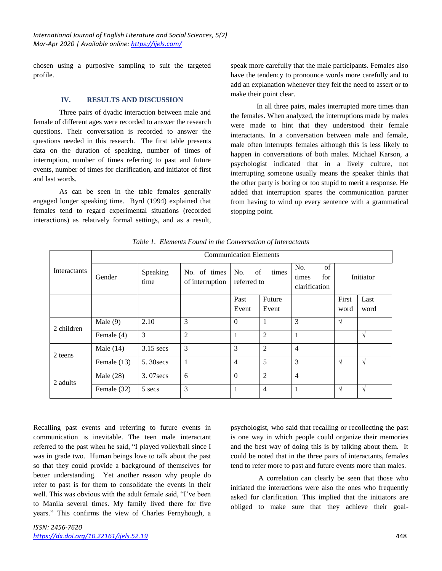chosen using a purposive sampling to suit the targeted profile.

#### **IV. RESULTS AND DISCUSSION**

Three pairs of dyadic interaction between male and female of different ages were recorded to answer the research questions. Their conversation is recorded to answer the questions needed in this research. The first table presents data on the duration of speaking, number of times of interruption, number of times referring to past and future events, number of times for clarification, and initiator of first and last words.

As can be seen in the table females generally engaged longer speaking time. Byrd (1994) explained that females tend to regard experimental situations (recorded interactions) as relatively formal settings, and as a result,

speak more carefully that the male participants. Females also have the tendency to pronounce words more carefully and to add an explanation whenever they felt the need to assert or to make their point clear.

In all three pairs, males interrupted more times than the females. When analyzed, the interruptions made by males were made to hint that they understood their female interactants. In a conversation between male and female, male often interrupts females although this is less likely to happen in conversations of both males. Michael Karson, a psychologist indicated that in a lively culture, not interrupting someone usually means the speaker thinks that the other party is boring or too stupid to merit a response. He added that interruption spares the communication partner from having to wind up every sentence with a grammatical stopping point.

| Interactants | <b>Communication Elements</b> |                  |                                 |                                   |                 |                                            |               |              |  |  |  |  |
|--------------|-------------------------------|------------------|---------------------------------|-----------------------------------|-----------------|--------------------------------------------|---------------|--------------|--|--|--|--|
|              | Gender                        | Speaking<br>time | No. of times<br>of interruption | No.<br>of<br>times<br>referred to |                 | of<br>No.<br>for<br>times<br>clarification | Initiator     |              |  |  |  |  |
|              |                               |                  |                                 | Past<br>Event                     | Future<br>Event |                                            | First<br>word | Last<br>word |  |  |  |  |
| 2 children   | Male $(9)$                    | 2.10             | 3                               | $\Omega$                          | 1               | 3                                          | $\sqrt{}$     |              |  |  |  |  |
|              | Female (4)                    | 3                | $\overline{2}$                  | 1                                 | $\overline{2}$  | $\mathbf{1}$                               |               | $\sqrt{ }$   |  |  |  |  |
| 2 teens      | Male $(14)$                   | $3.15$ secs      | 3                               | 3                                 | $\overline{2}$  | $\overline{4}$                             |               |              |  |  |  |  |
|              | Female (13)                   | 5.30 secs        |                                 | $\overline{4}$                    | 5               | 3                                          | $\sqrt{}$     | $\sqrt{ }$   |  |  |  |  |
| 2 adults     | Male $(28)$                   | $3.07$ secs      | 6                               | $\Omega$                          | $\overline{2}$  | $\overline{4}$                             |               |              |  |  |  |  |
|              | Female (32)                   | 5 secs           | 3                               | 1                                 | $\overline{4}$  |                                            | $\sqrt{ }$    | $\sqrt{ }$   |  |  |  |  |

*Table 1. Elements Found in the Conversation of Interactants*

Recalling past events and referring to future events in communication is inevitable. The teen male interactant referred to the past when he said, "I played volleyball since I was in grade two. Human beings love to talk about the past so that they could provide a background of themselves for better understanding. Yet another reason why people do refer to past is for them to consolidate the events in their well. This was obvious with the adult female said, "I've been to Manila several times. My family lived there for five years." This confirms the view of Charles Fernyhough, a

psychologist, who said that recalling or recollecting the past is one way in which people could organize their memories and the best way of doing this is by talking about them. It could be noted that in the three pairs of interactants, females tend to refer more to past and future events more than males.

A correlation can clearly be seen that those who initiated the interactions were also the ones who frequently asked for clarification. This implied that the initiators are obliged to make sure that they achieve their goal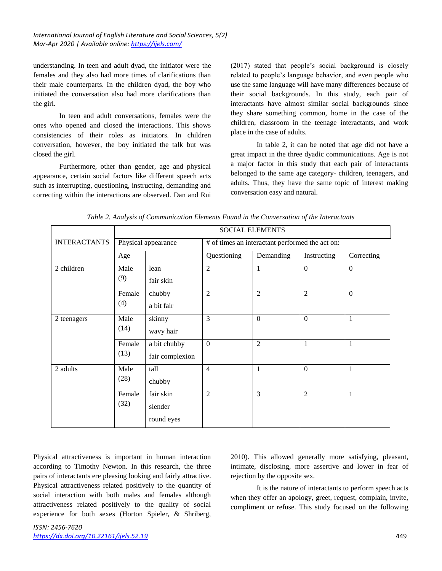understanding. In teen and adult dyad, the initiator were the females and they also had more times of clarifications than their male counterparts. In the children dyad, the boy who initiated the conversation also had more clarifications than the girl.

In teen and adult conversations, females were the ones who opened and closed the interactions. This shows consistencies of their roles as initiators. In children conversation, however, the boy initiated the talk but was closed the girl.

Furthermore, other than gender, age and physical appearance, certain social factors like different speech acts such as interrupting, questioning, instructing, demanding and correcting within the interactions are observed. Dan and Rui (2017) stated that people's social background is closely related to people's language behavior, and even people who use the same language will have many differences because of their social backgrounds. In this study, each pair of interactants have almost similar social backgrounds since they share something common, home in the case of the children, classroom in the teenage interactants, and work place in the case of adults.

In table 2, it can be noted that age did not have a great impact in the three dyadic communications. Age is not a major factor in this study that each pair of interactants belonged to the same age category- children, teenagers, and adults. Thus, they have the same topic of interest making conversation easy and natural.

|                     | <b>SOCIAL ELEMENTS</b> |                                    |                                                 |                  |                  |                  |  |  |  |
|---------------------|------------------------|------------------------------------|-------------------------------------------------|------------------|------------------|------------------|--|--|--|
| <b>INTERACTANTS</b> | Physical appearance    |                                    | # of times an interactant performed the act on: |                  |                  |                  |  |  |  |
|                     | Age                    |                                    | Questioning                                     | Demanding        | Instructing      | Correcting       |  |  |  |
| 2 children          | Male<br>(9)            | lean<br>fair skin                  | $\overline{2}$                                  | $\mathbf{1}$     | $\mathbf{0}$     | $\boldsymbol{0}$ |  |  |  |
|                     | Female<br>(4)          | chubby<br>a bit fair               | $\overline{2}$                                  | $\overline{2}$   | $\overline{2}$   | $\mathbf{0}$     |  |  |  |
| 2 teenagers         | Male<br>(14)           | skinny<br>wavy hair                | 3                                               | $\boldsymbol{0}$ | $\boldsymbol{0}$ | $\mathbf{1}$     |  |  |  |
|                     | Female<br>(13)         | a bit chubby<br>fair complexion    | $\boldsymbol{0}$                                | $\overline{2}$   | 1                | $\mathbf{1}$     |  |  |  |
| 2 adults            | Male<br>(28)           | tall<br>chubby                     | $\overline{4}$                                  | $\mathbf{1}$     | $\mathbf{0}$     | $\mathbf{1}$     |  |  |  |
|                     | Female<br>(32)         | fair skin<br>slender<br>round eyes | $\overline{2}$                                  | 3                | $\overline{c}$   | $\mathbf{1}$     |  |  |  |

*Table 2. Analysis of Communication Elements Found in the Conversation of the Interactants*

Physical attractiveness is important in human interaction according to Timothy Newton. In this research, the three pairs of interactants ere pleasing looking and fairly attractive. Physical attractiveness related positively to the quantity of social interaction with both males and females although attractiveness related positively to the quality of social experience for both sexes (Horton Spieler, & Shriberg,

2010). This allowed generally more satisfying, pleasant, intimate, disclosing, more assertive and lower in fear of rejection by the opposite sex.

It is the nature of interactants to perform speech acts when they offer an apology, greet, request, complain, invite, compliment or refuse. This study focused on the following